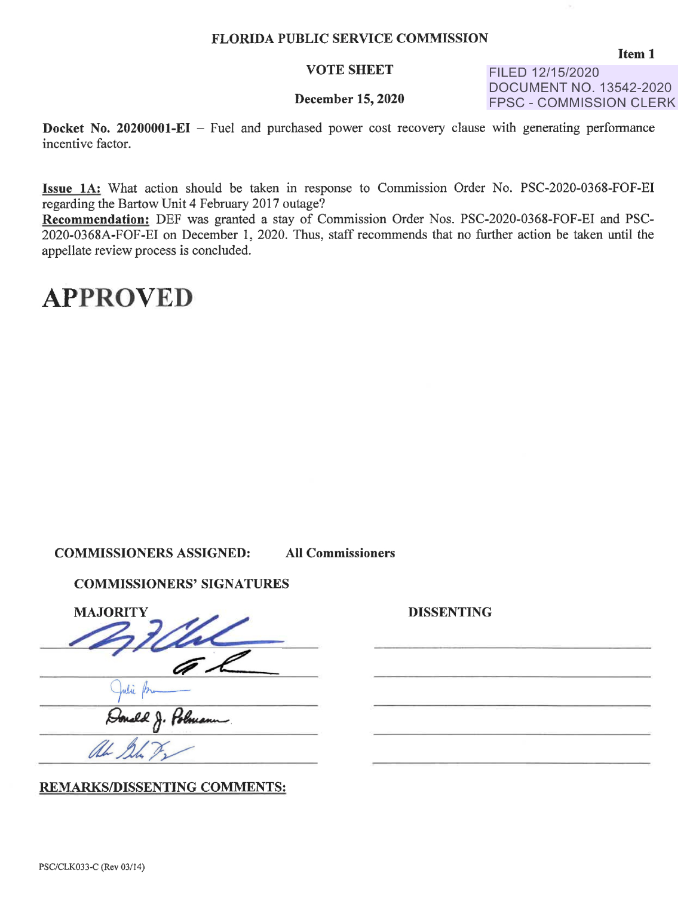#### **VOTE SHEET**

FILED 12/15/2020 DOCUMENT NO. 13542-2020 FPSC - COMMISSION CLERK

#### **December 15, 2020**

**Docket No. 20200001-EI** – Fuel and purchased power cost recovery clause with generating performance incentive factor.

**Issue lA:** What action should be taken in response to Commission Order No. PSC-2020-0368-FOF-EI regarding the Bartow Unit 4 February 2017 outage?

**Recommendation:** DEF was granted a stay of Commission Order Nos. PSC-2020-0368-FOF-EI and PSC-2020-0368A-FOF-EI on December 1, 2020. Thus, staff recommends that no further action be taken until the appellate review process is concluded.

#### **APPROVED**

#### **COMMISSIONERS ASSIGNED: All Commissioners**

#### **COMMISSIONERS' SIGNATURES**

COMMISSIONERS' SIGNA COMMISSIONERS' SIGNATURES<br>MAJORITY<br>ALL

**REMARKS/DISSENTING COMMENTS:** 

**DISSENTING** 

U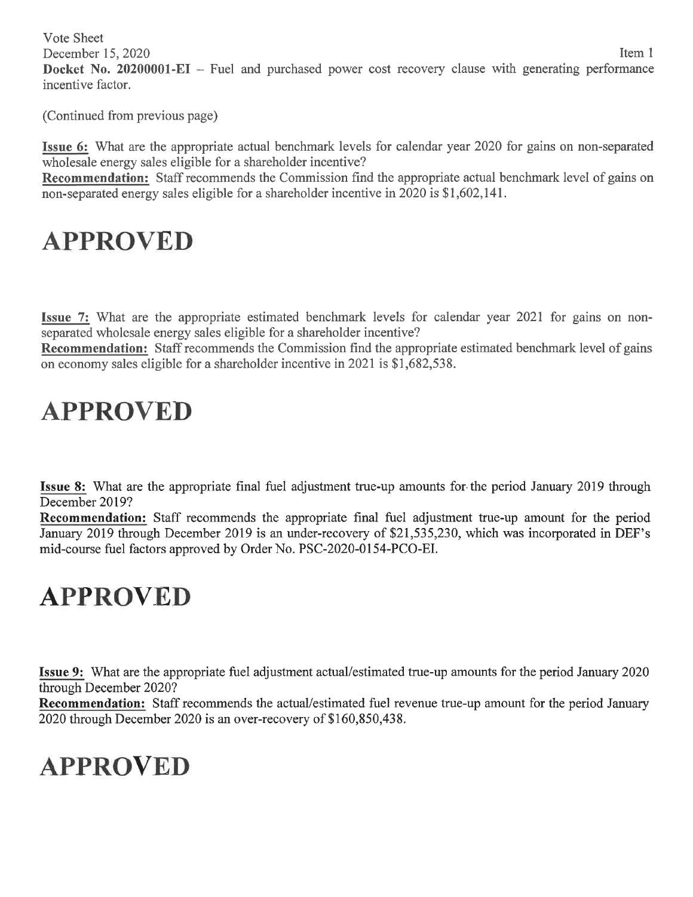Vote Sheet

December 15, 2020 Item 1 **Docket No. 20200001-EI** – Fuel and purchased power cost recovery clause with generating performance incentive factor.

(Continued from previous page)

**Issue 6:** What are the appropriate actual benchmark levels for calendar year 2020 for gains on non-separated wholesale energy sales eligible for a shareholder incentive?

**Recommendation:** Staff recommends the Commission find the appropriate actual benchmark level of gains on non-separated energy sales eligible for a shareholder incentive in 2020 is \$1,602,141.

# **APPROVED**

**Issue 7:** What are the appropriate estimated benchmark levels for calendar year 2021 for gains on nonseparated wholesale energy sales eligible for a shareholder incentive?

**Recommendation:** Staff recommends the Commission find the appropriate estimated benchmark level of gains on economy sales eligible for a shareholder incentive in 2021 is \$1,682,538.

## **APPROVED**

**Issue 8:** What are the appropriate final fuel adjustment true-up amounts for- the period January 2019 through December 2019?

**Recommendation:** Staff recommends the appropriate final fuel adjustment true-up amount for the period January 2019 through December 2019 is an under-recovery of \$21,535,230, which was incorporated in DEF's mid-course fuel factors approved by Order No. PSC-2020-0154-PCO-EI.

# **APPROVED**

**Issue 9:** What are the appropriate fuel adjustment actual/estimated true-up amounts for the period January 2020 through December 2020?

**Recommendation:** Staff recommends the actual/estimated fuel revenue true-up amount for the period January 2020 through December 2020 is an over-recovery of \$160,850,438.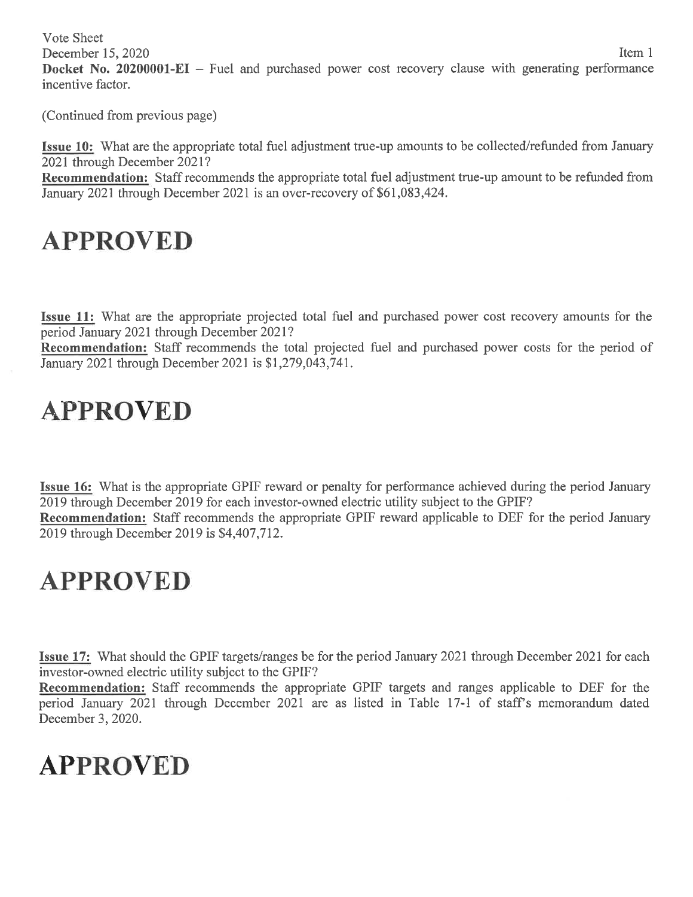Vote Sheet December 15, 2020 Item 1 **Docket No. 20200001-EI** – Fuel and purchased power cost recovery clause with generating performance incentive factor.

(Continued from previous page)

**Issue 10:** What are the appropriate total fuel adjustment true-up amounts to be collected/refunded from January 2021 through December 2021?

**Recommendation:** Staff recommends the appropriate total fuel adjustment true-up amount to be refunded from January 2021 through December 2021 is an over-recovery of \$61,083,424.

## **APPROVED**

**Issue 11:** What are the appropriate projected total fuel and purchased power cost recovery amounts for the period January 2021 through December 2021?

**Recommendation:** Staff recommends the total projected fuel and purchased power costs for the period of January 2021 through December 2021 is \$1,279,043,741.

## **APPROVED**

**Issue 16:** What is the appropriate GPIF reward or penalty for performance achieved during the period January 2019 through December 2019 for each investor-owned electric utility subject to the GPIF? **Recommendation:** Staff recommends the appropriate GPIF reward applicable to DEF for the period January 2019 through December 2019 is \$4,407,712.

## **APPROVED**

**Issue 17:** What should the GPIF targets/ranges be for the period January 2021 through December 2021 for each investor-owned electric utility subject to the GPIF?

**Recommendation:** Staff recommends the appropriate GPIF targets and ranges applicable to DEF for the period January 2021 through December 2021 are as listed in Table 17-1 of staff's memorandum dated December 3, 2020.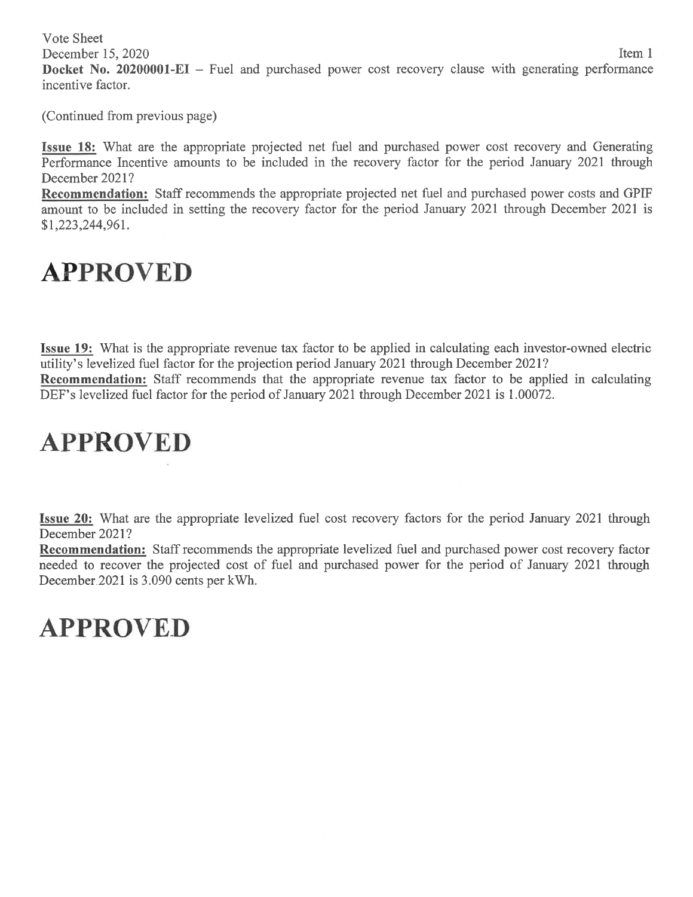Vote Sheet December 15, 2020 Item 1 **Docket No. 20200001-EI** – Fuel and purchased power cost recovery clause with generating performance incentive factor.

(Continued from previous page)

**Issue 18:** What are the appropriate projected net fuel and purchased power cost recovery and Generating Performance Incentive amounts to be included in the recovery factor for the period January 2021 through December 2021?

**Recommendation:** Staff recommends the appropriate projected net fuel and purchased power costs and GPIF amount to be included in setting the recovery factor for the period January 2021 through December 2021 is \$1,223,244,961.

### **APPROVED**

**Issue 19:** What is the appropriate revenue tax factor to be applied in calculating each investor-owned electric utility's levelized fuel factor for the projection period January 2021 through December 2021? **Recommendation:** Staff recommends that the appropriate revenue tax factor to be applied in calculating DEF's levelized fuel factor for the period of January 2021 through December 2021 is 1.00072.

## **APPROVED**

**Issue 20:** What are the appropriate levelized fuel cost recovery factors for the period January 2021 through December 2021?

**Recommendation:** Staff recommends the appropriate levelized fuel and purchased power cost recovery factor needed to recover the projected cost of fuel and purchased power for the period of January 2021 through December.2021 is 3.090 cents per kWh.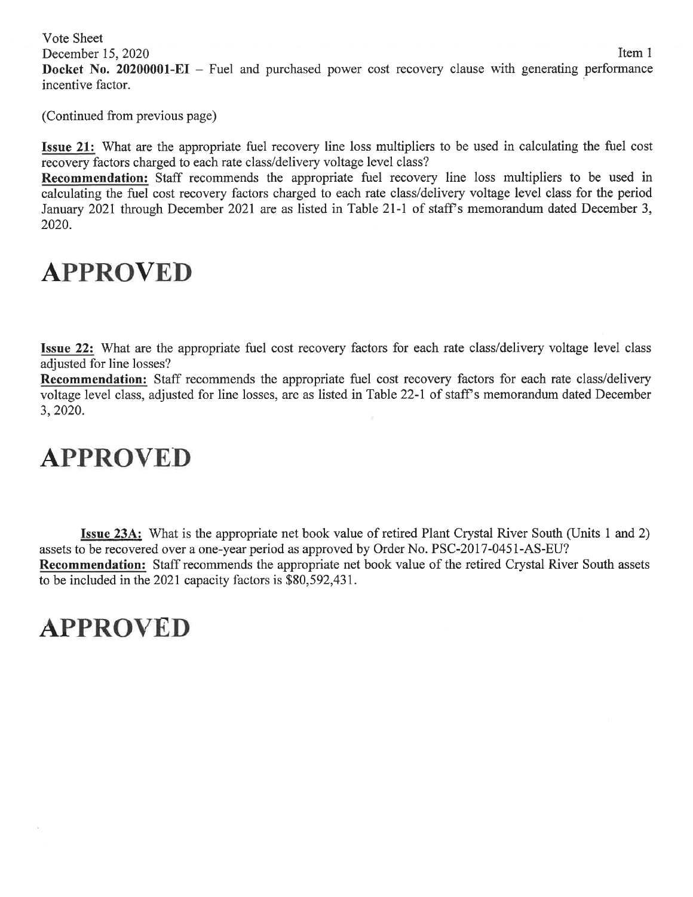Vote Sheet

December 15, 2020 Item 1

**Docket No. 20200001-EI** – Fuel and purchased power cost recovery clause with generating performance incentive factor.

(Continued from previous page)

**Issue 21:** What are the appropriate fuel recovery line loss multipliers to be used in calculating the fuel cost recovery factors charged to each rate class/delivery voltage level class?

**Recommendation:** Staff recommends the appropriate fuel recovery line loss multipliers to be used in calculating the fuel cost recovery factors charged to each rate class/delivery voltage level class for the period January 2021 through December 2021 are as listed in Table 21-1 of staff's memorandum dated December 3, 2020.

#### **APPROVED**

**Issue 22:** What are the appropriate fuel cost recovery factors for each rate class/delivery voltage level class adjusted for line losses?

**Recommendation:** Staff recommends the appropriate fuel cost recovery factors for each rate class/delivery voltage level class, adjusted for line losses, are as listed in Table 22-1 of staff's memorandum dated December 3, 2020.

### **APPROVED**

**Issue 23A:** What is the appropriate net book value of retired Plant Crystal River South (Units 1 and 2) assets to be recovered over a one-year period as approved by Order No. PSC-2017-0451-AS-EU? **Recommendation:** Staff recommends the appropriate net book value of the retired Crystal River South assets to be included in the 2021 capacity factors is \$80,592,431.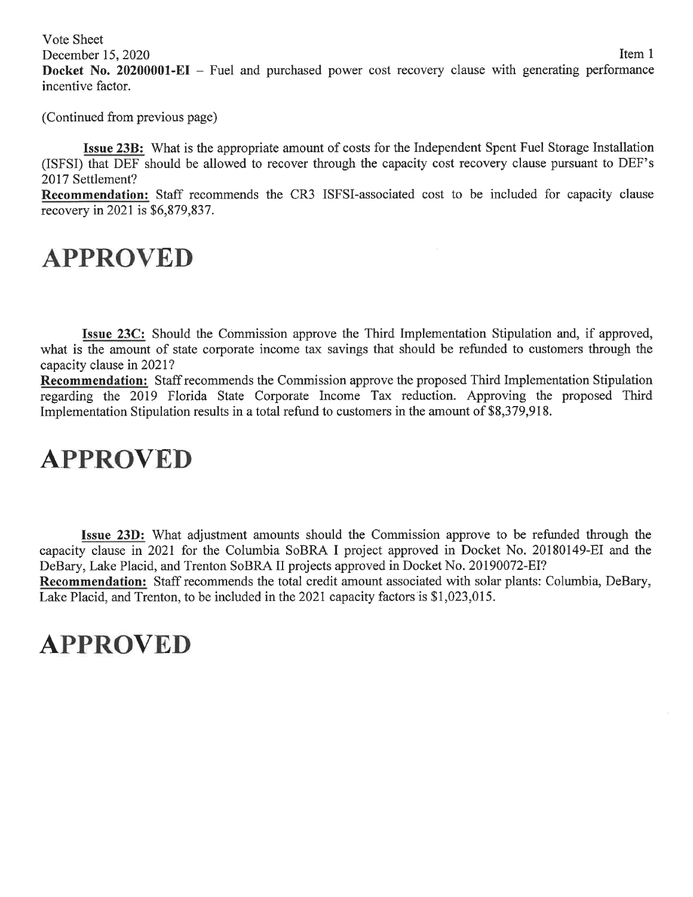Vote Sheet

**Docket No. 20200001-EI** – Fuel and purchased power cost recovery clause with generating performance incentive factor.

(Continued from previous page)

**Issue 23B:** What is the appropriate amount of costs for the Independent Spent Fuel Storage Installation (ISFSI) that DEF should be allowed to recover through the capacity cost recovery clause pursuant to DEF's 2017 Settlement?

**Recommendation:** Staff recommends the CR3 ISFSI-associated cost to be included for capacity clause recovery in 2021 is \$6,879,837.

### **APPROVED**

**Issue 23C:** Should the Commission approve the Third Implementation Stipulation and, if approved, what is the amount of state corporate income tax savings that should be refunded to customers through the capacity clause in 2021?

**Recommendation:** Staff recommends the Commission approve the proposed Third Implementation Stipulation regarding the 2019 Florida State Corporate Income Tax reduction. Approving the proposed Third Implementation Stipulation results in a total refund to customers in the amount of \$8,379,918.

## **APPROVED**

**Issue 23D:** What adjustment amounts should the Commission approve to be refunded through the capacity clause in 2021 for the Columbia SoBRA I project approved in Docket No. 20180149-EI and the DeBary, Lake Placid, and Trenton SoBRA II projects approved in Docket No. 20190072-EI? **Recommendation:** Staff recommends the total credit amount associated with solar plants: Columbia, DeBary, Lake Placid, and Trenton, to be included in the 2021 capacity factors is \$1,023,015.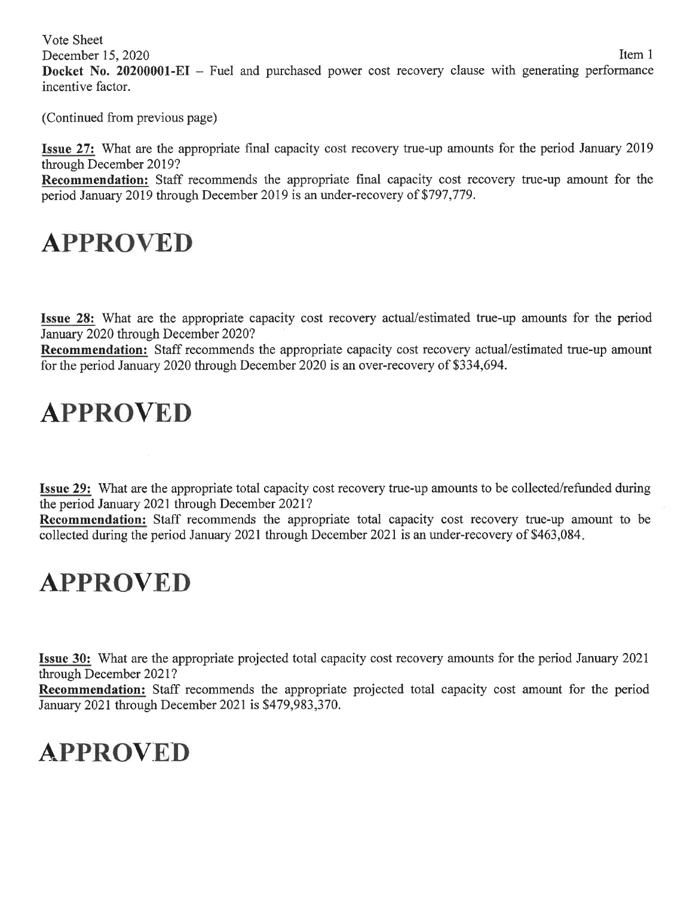Vote Sheet December 15, 2020 Item 1 **Docket No. 20200001-EI** - Fuel and purchased power cost recovery clause with generating performance incentive factor.

(Continued from previous page)

**Issue 27:** What are the appropriate final capacity cost recovery true-up amounts for the period January 2019 through December 2019?

**Recommendation:** Staff recommends the appropriate final capacity cost recovery true-up amount for the period January 2019 through December 2019 is an under-recovery of \$797,779.

### **APPROVED**

**Issue 28:** What are the appropriate capacity cost recovery actual/estimated true-up amounts for the period January 2020 through December 2020?

**Recommendation:** Staff recommends the appropriate capacity cost recovery actual/estimated true-up amount for the period January 2020 through December 2020 is an over-recovery of \$334,694.

### **APPROVED**

**Issue 29:** What are the appropriate total capacity cost recovery true-up amounts to be collected/refunded during the period January 2021 through December 2021?

**Recommendation:** Staff recommends the appropriate total capacity cost recovery true-up amount to be collected during the period January 2021 through December 2021 is an under-recovery of \$463,084.

### **APPROVED**

**Issue 30:** What are the appropriate projected total capacity cost recovery amounts for the period January 2021 through December 2021?

**Recommendation:** Staff recommends the appropriate projected total capacity cost amount for the period January 2021 through December 2021 is \$479,983,370.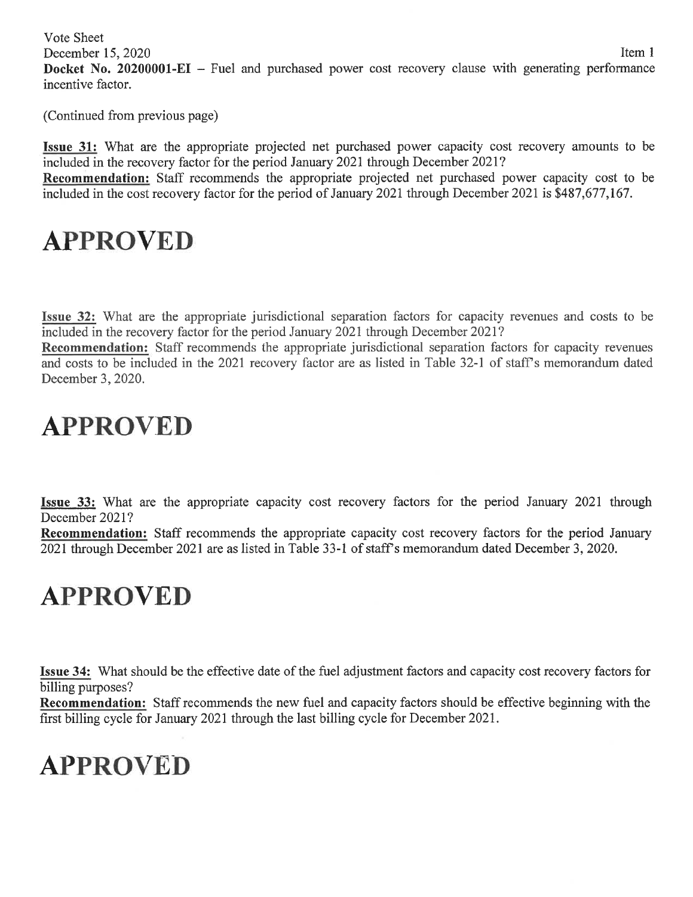Vote Sheet December 15, 2020 Item 1 **Docket No. 20200001-EI** - Fuel and purchased power cost recovery clause with generating performance incentive factor.

(Continued from previous page)

**Issue 31:** What are the appropriate projected net purchased power capacity cost recovery amounts to be included in the recovery factor for the period January 2021 through December 2021?

**Recommendation:** Staff recommends the appropriate projected net purchased power capacity cost to be included in the cost recovery factor for the period of January 2021 through December 2021 is \$487,677,167.

## **APPROVED**

**Issue 32:** What are the appropriate jurisdictional separation factors for capacity revenues and costs to be included in the recovery factor for the period January 2021 through December 2021?

**Recommendation:** Staff recommends the appropriate jurisdictional separation factors for capacity revenues and costs to be included in the 2021 recovery factor are as listed in Table 32-1 of staff's memorandum dated December 3, 2020.

## **APPROVED**

**Issue 33:** What are the appropriate capacity cost recovery factors for the period January 2021 through December 2021?

**Recommendation:** Staff recommends the appropriate capacity cost recovery factors for the period January 2021 through December 2021 are as listed in Table 33-1 of staff's memorandum dated December 3, 2020.

## **APPROVED**

**Issue 34:** What should be the effective date of the fuel adjustment factors and capacity cost recovery factors for billing purposes?

**Recommendation:** Staff recommends the new fuel and capacity factors should be effective beginning with the first billing cycle for January 2021 through the last billing cycle for December 2021.